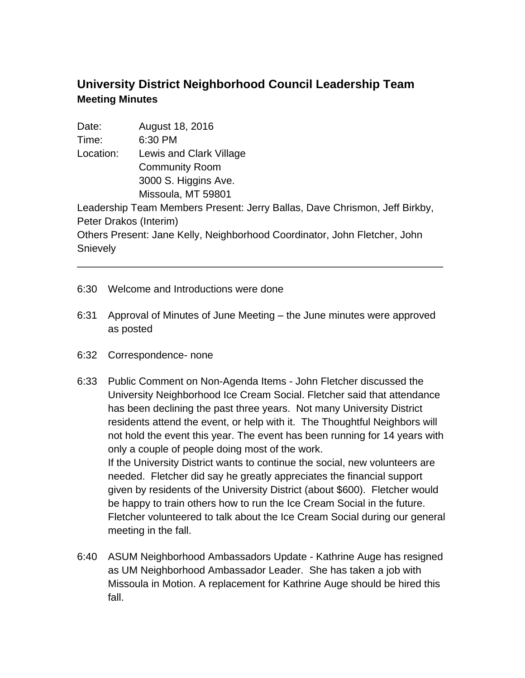## **University District Neighborhood Council Leadership Team Meeting Minutes**

Date: August 18, 2016 Time: 6:30 PM Location: Lewis and Clark Village Community Room 3000 S. Higgins Ave. Missoula, MT 59801 Leadership Team Members Present: Jerry Ballas, Dave Chrismon, Jeff Birkby, Peter Drakos (Interim) Others Present: Jane Kelly, Neighborhood Coordinator, John Fletcher, John **Snievely** \_\_\_\_\_\_\_\_\_\_\_\_\_\_\_\_\_\_\_\_\_\_\_\_\_\_\_\_\_\_\_\_\_\_\_\_\_\_\_\_\_\_\_\_\_\_\_\_\_\_\_\_\_\_\_\_\_\_\_\_\_\_\_\_

- 6:30 Welcome and Introductions were done
- 6:31 Approval of Minutes of June Meeting the June minutes were approved as posted
- 6:32 Correspondence- none
- 6:33 Public Comment on Non-Agenda Items John Fletcher discussed the University Neighborhood Ice Cream Social. Fletcher said that attendance has been declining the past three years. Not many University District residents attend the event, or help with it. The Thoughtful Neighbors will not hold the event this year. The event has been running for 14 years with only a couple of people doing most of the work. If the University District wants to continue the social, new volunteers are needed. Fletcher did say he greatly appreciates the financial support given by residents of the University District (about \$600). Fletcher would be happy to train others how to run the Ice Cream Social in the future. Fletcher volunteered to talk about the Ice Cream Social during our general meeting in the fall.
- 6:40 ASUM Neighborhood Ambassadors Update Kathrine Auge has resigned as UM Neighborhood Ambassador Leader. She has taken a job with Missoula in Motion. A replacement for Kathrine Auge should be hired this fall.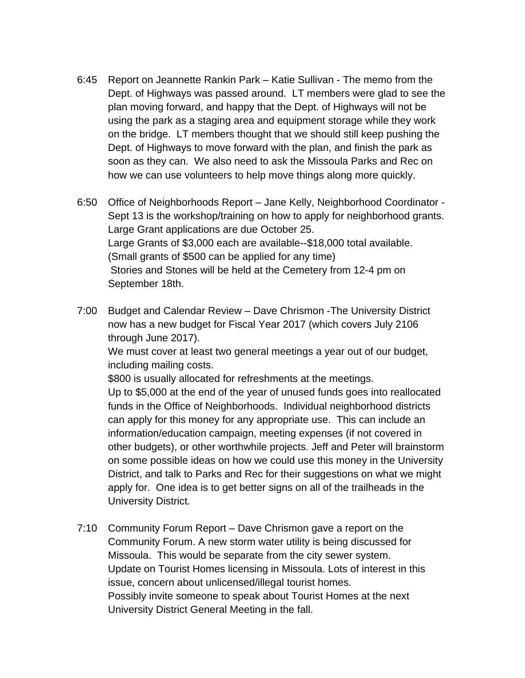- 6:45 Report on Jeannette Rankin Park Katie Sullivan The memo from the Dept. of Highways was passed around. LT members were glad to see the plan moving forward, and happy that the Dept. of Highways will not be using the park as a staging area and equipment storage while they work on the bridge. LT members thought that we should still keep pushing the Dept. of Highways to move forward with the plan, and finish the park as soon as they can. We also need to ask the Missoula Parks and Rec on how we can use volunteers to help move things along more quickly.
- 6:50 Office of Neighborhoods Report Jane Kelly, Neighborhood Coordinator Sept 13 is the workshop/training on how to apply for neighborhood grants. Large Grant applications are due October 25. Large Grants of \$3,000 each are available--\$18,000 total available. (Small grants of \$500 can be applied for any time) Stories and Stones will be held at the Cemetery from 12-4 pm on September 18th.
- 7:00 Budget and Calendar Review Dave Chrismon -The University District now has a new budget for Fiscal Year 2017 (which covers July 2106 through June 2017).

We must cover at least two general meetings a year out of our budget, including mailing costs.

\$800 is usually allocated for refreshments at the meetings. Up to \$5,000 at the end of the year of unused funds goes into reallocated funds in the Office of Neighborhoods. Individual neighborhood districts can apply for this money for any appropriate use. This can include an information/education campaign, meeting expenses (if not covered in other budgets), or other worthwhile projects. Jeff and Peter will brainstorm on some possible ideas on how we could use this money in the University District, and talk to Parks and Rec for their suggestions on what we might apply for. One idea is to get better signs on all of the trailheads in the University District.

7:10 Community Forum Report – Dave Chrismon gave a report on the Community Forum. A new storm water utility is being discussed for Missoula. This would be separate from the city sewer system. Update on Tourist Homes licensing in Missoula. Lots of interest in this issue, concern about unlicensed/illegal tourist homes. Possibly invite someone to speak about Tourist Homes at the next University District General Meeting in the fall.